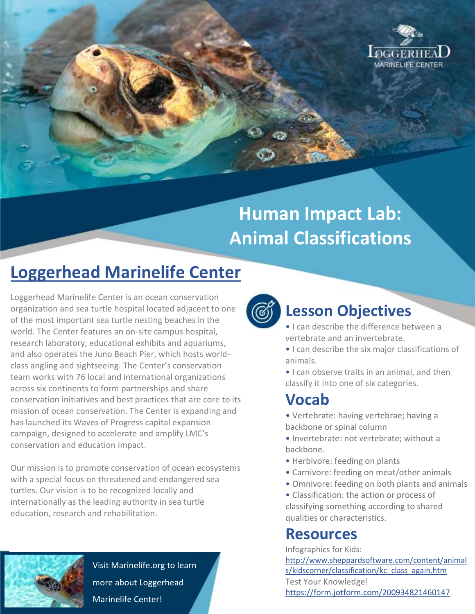

# **Human Impact Lab: Animal Classifications**

## **Loggerhead Marinelife Center**

Loggerhead Marinelife Center is an ocean conservation organization and sea turtle hospital located adjacent to one of the most important sea turtle nesting beaches in the world. The Center features an on-site campus hospital, research laboratory, educational exhibits and aquariums, and also operates the Juno Beach Pier, which hosts worldclass angling and sightseeing. The Center's conservation team works with 76 local and international organizations across six continents to form partnerships and share conservation initiatives and best practices that are core to its mission of ocean conservation. The Center is expanding and has launched its Waves of Progress capital expansion campaign, designed to accelerate and amplify LMC's conservation and education impact.

Our mission is to promote conservation of ocean ecosystems with a special focus on threatened and endangered sea turtles. Our vision is to be recognized locally and internationally as the leading authority in sea turtle education, research and rehabilitation.



Visit Marinelife.org to learn more about Loggerhead Marinelife Center!



## **Lesson Objectives**

- I can describe the difference between a vertebrate and an invertebrate.
- I can describe the six major classifications of animals.
- I can observe traits in an animal, and then classify it into one of six categories.

### **Vocab**

- Vertebrate: having vertebrae; having a backbone or spinal column
- Invertebrate: not vertebrate; without a backbone.
- Herbivore: feeding on plants
- Carnivore: feeding on meat/other animals
- Omnivore: feeding on both plants and animals

• Classification: the action or process of classifying something according to shared qualities or characteristics.

#### **Resources**

Infographics for Kids: [http://www.sheppardsoftware.com/content/animal](http://www.sheppardsoftware.com/content/animals/kidscorner/classification/kc_class_again.htm) [s/kidscorner/classification/kc\\_class\\_again.htm](http://www.sheppardsoftware.com/content/animals/kidscorner/classification/kc_class_again.htm) Test Your Knowledge! <https://form.jotform.com/200934821460147>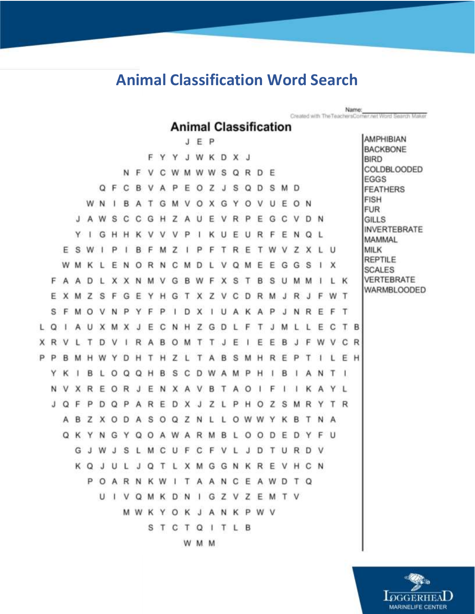## **Animal Classification Word Search**

Name:<br>Created with The TeachersComer.net Word Search Maker

#### **Animal Classification**

|   |     |          |   |         |    |         |          |              |     |         |                  |              | JEP     |             |     |          |         |         |                     |     |     |   |     |     |     |   | <b>AMPHIBIAN</b><br><b>BACKBONE</b> |
|---|-----|----------|---|---------|----|---------|----------|--------------|-----|---------|------------------|--------------|---------|-------------|-----|----------|---------|---------|---------------------|-----|-----|---|-----|-----|-----|---|-------------------------------------|
|   |     |          |   |         |    |         |          |              | F   | Y       | Y                | J            |         | WKDXJ       |     |          |         |         |                     |     |     |   |     |     |     |   | <b>BIRD</b>                         |
|   |     |          |   |         |    |         | N        | E.           |     | С       | w                | M            |         | W W S       |     |          | Q R     |         | D E                 |     |     |   |     |     |     |   | COLDBLOODED<br><b>EGGS</b>          |
|   |     |          |   |         |    | QF      | C        | B.           | v   | Α       | P.               | Ε            | $\circ$ | z           | J   | s        | Q       | D       | s                   | M   | D   |   |     |     |     |   | <b>FEATHERS</b>                     |
|   |     |          |   | W       | N. |         | B        | A            | т   | G       | M                | V            | $\circ$ | x           | G   | Y        | $\circ$ | V       | U                   | Ε   | O N |   |     |     |     |   | <b>FISH</b><br><b>FUR</b>           |
|   |     |          | J | A       | W  | s       | C        | C            | G   | н       | z                | A            | U       | ε           | V   | R        | - P     | Ε       | G                   | C   | v   | D | .N  |     |     |   | <b>GILLS</b>                        |
|   |     |          | Y | ч.      | G  | н       | н        | к            | ν   | v       | v                | P            | -1      | ĸ           | U   | Ε        | U       | R       | F                   | Ε   | N   | Q | -L  |     |     |   | <b>INVERTEBRATE</b><br>MAMMAL       |
|   |     | E        | s | W       |    | P       |          | в            | F   | м       | Z                |              | P       | F           | т   | R        | Ε       | т       |                     | W V | z   | x | Ŀ   | -U  |     |   | MILK                                |
|   |     | W        | м | к       |    | Ε       | N        | O            | R   | N       | С                | M            | D       | Ŀ           | v   | $\Omega$ | M       | Ε       | Ε                   | G   | G   | S |     | X   |     |   | <b>REPTILE</b><br><b>SCALES</b>     |
|   | F   | A        | А | D       | L. |         |          | X X N M      |     | . V     | G                | в            | W F     |             | X   | s        | T       | В       | s                   | U   | M   | M | 1   | L.  | к   |   | VERTEBRATE                          |
|   | Е   | x        | M | z       | s  | F       | G        | Ε            | Y   | H       | G                | т            |         | X Z V       |     | С        | D       | R       | M J                 |     | R   |   | F   | W T |     |   | WARMBLOODED                         |
|   | s   | F        | м | $\circ$ | v  | N       | P        | Y            | F   | P       | 1                | D            | x       | ı           | U   | A        | к       | А       | P                   | J   | N   | R | Ε   | F T |     |   |                                     |
| L | Ο   |          | А | U       | x  | м       | X        | J            | Ε   | С       | N H              |              |         | Z G D       |     | L        | F       | т       | J                   | M   | L   | L | Ε   | C   | T B |   |                                     |
|   | X R |          |   |         | D  | v       |          | R            | A   | в       |                  | O M          | ा       | T           | J   | Ε        |         | Ε       | Ε                   | в   |     | F | W   | v   | С   | R |                                     |
| P | P   | в        | м | н       | w  | Υ       | Ð        | н            | т   | н       | z                | L.           | т       | А           | B   | s        | M       | н       | R                   | Ε   | ₽   | т |     |     | Ε   | H |                                     |
|   | Y   | κ        |   | B       | L  | O       | $\Omega$ | $^{\circ}$   | н   | В       | s                | С            |         | D W         |     | A M P    |         | н       | л                   | в   | ı   | Α | N   | т   |     |   |                                     |
|   | N.  | V        | x | R       | E  | $\circ$ | R        | J            | Е   | N       | X                |              | A V     |             | B T | A        | $\circ$ |         | F                   |     |     | κ | A   | YL  |     |   |                                     |
|   | J   | Q        | F | P       | D  | Ο       | P        |              | A R | Ε       | D                | x            | ി       | z           | L   | P        | н       | O       | z                   | s   | м   | R | Y   |     | T R |   |                                     |
|   |     | А        | В | z       | x  | O       | D        | $\mathsf{A}$ | s   | $\circ$ | $\Omega$         | Ζ            | N       | $\mathbb L$ | L   |          | O W W Y |         |                     | к   | в   | т | N A |     |     |   |                                     |
|   |     | $\Omega$ | K | Y       | N  | G       | Y        | Ο            | O   |         | A W              | $\mathsf{A}$ | R       | M           | B   | L        | $\circ$ | $\circ$ | D                   | Ε   | D   | Y | F   | . U |     |   |                                     |
|   |     |          | G |         | w  |         | S        |              | м   | С       | U                | F            | C       | F           | v   |          |         | D       |                     | U   | R   | D |     |     |     |   |                                     |
|   |     |          | κ | Q       |    |         |          |              | Q   | т       | Γ                | X            |         | M G         | G   |          | N K     | R       | Ε                   | V   | н   | С | -N  |     |     |   |                                     |
|   |     |          |   |         |    |         |          |              |     |         |                  |              |         |             |     |          |         |         | POARNKWITAANCEAWDTQ |     |     |   |     |     |     |   |                                     |
|   |     |          |   |         |    |         |          |              |     |         |                  |              |         |             |     |          |         |         | UIVQMKDNIGZVZEMTV   |     |     |   |     |     |     |   |                                     |
|   |     |          |   |         |    |         |          |              |     |         | MWKYOKJANKPWV    |              |         |             |     |          |         |         |                     |     |     |   |     |     |     |   |                                     |
|   |     |          |   |         |    |         |          |              |     |         | <b>STCTQITLB</b> |              |         |             |     |          |         |         |                     |     |     |   |     |     |     |   |                                     |
|   |     |          |   |         |    |         |          |              |     |         |                  |              |         | W M M       |     |          |         |         |                     |     |     |   |     |     |     |   |                                     |
|   |     |          |   |         |    |         |          |              |     |         |                  |              |         |             |     |          |         |         |                     |     |     |   |     |     |     |   |                                     |

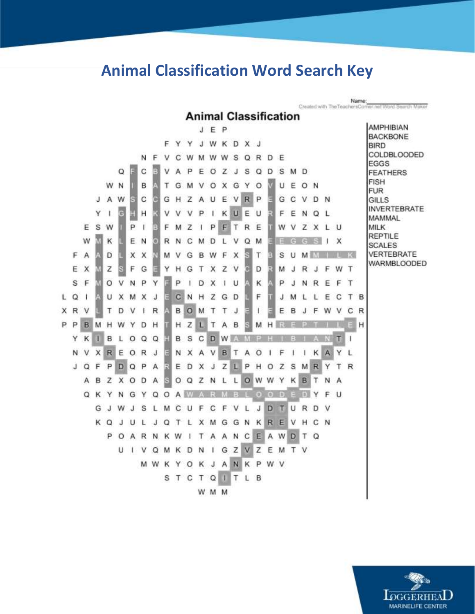#### **Animal Classification Word Search Key**

Name:<br>Created with The TeachersCorner.net Word Search Maker **Animal Classification** AMPHIBIAN J E P **BACKBONE** F Y Y J W K D X J **BIRD COLDBLOODED** N F V C WMWWSQR D - F **EGGS** B Q C V  $A$ PEOZJ S M D S  $\Omega$ D **FEATHERS FISH** W N B T G OXGY  $\circ$ UEON M v **FUR** A W G C GHZAUE VR P GCVDN J O **GILLS INVERTEBRATE** G Υ  $\mathbf{I}$ V V P  $\mathbf{I}$ KUE FENQL н V U MAMMAL E S W P  $\mathbf{I}$ E PF TR  $E$ W V Z X **MILK** F M Z  $\mathbf{I}$ L U **REPTILE** W к E N G R N C M D L V Q M EGGS  $1 \times$ **SCALES** F A Ξ VERTEBRATE D X X М V G B W F  $\times$ Τ E S U MMILK WARMBLOODED s E E 5  $\times$ z F G Υ H G T X Z V D  $R$ F W T м J  $J$ P S  $F$ O V P  $\perp$ D X  $1$  U к PJNREFT N Υ C T B L Q CNHZ G D F  $\mathbf{1}$ U x M X J E J M L L Ε X R V т D V R **BOM** Τ Т  $\mathsf{J}$  $\mathbf{I}$ E B J F W v C<sub>R</sub> ŧ P P HZL  $H$ **B** M H W Y D  $H$ T A B Ε MHRE B L **BSCDWAMPH** YK и  $0QQ$  $\mathbf{I}$ т N V XREORJ NXAVBTA K A Υ L  $\circ$ Е 1 F -1 JQFP DQPA E EDXJZLP R HOZ S M<sub>R</sub> Υ Τ A B Z X O D A O Q Z N L L O W W К B т N Y A QKYN G Y Q O A W A U WJS J D U  $R$ G J L M C F С F V L  $\mathbf{T}$ D v ுப **XMGGNKREVH** KQJUL C N JQTL CEAWDTQ POARNKW TAAN  $\mathbf{I}$ UIVQM K D N I G Z V Z E M T V JANK MWKY O K P W V STCTQ<sup>1</sup> T L B W M M